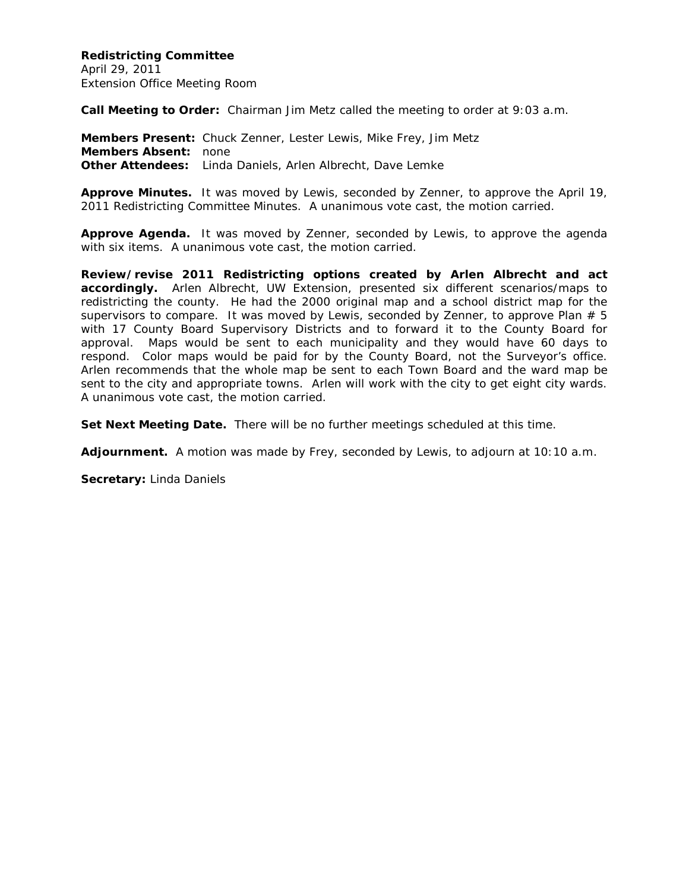**Redistricting Committee** April 29, 2011 Extension Office Meeting Room

**Call Meeting to Order:** Chairman Jim Metz called the meeting to order at 9:03 a.m.

**Members Present:** Chuck Zenner, Lester Lewis, Mike Frey, Jim Metz **Members Absent:** none **Other Attendees:** Linda Daniels, Arlen Albrecht, Dave Lemke

**Approve Minutes.** It was moved by Lewis, seconded by Zenner, to approve the April 19, 2011 Redistricting Committee Minutes. A unanimous vote cast, the motion carried.

**Approve Agenda.** It was moved by Zenner, seconded by Lewis, to approve the agenda with six items. A unanimous vote cast, the motion carried.

**Review/revise 2011 Redistricting options created by Arlen Albrecht and act accordingly.** Arlen Albrecht, UW Extension, presented six different scenarios/maps to redistricting the county. He had the 2000 original map and a school district map for the supervisors to compare. It was moved by Lewis, seconded by Zenner, to approve Plan  $# 5$ with 17 County Board Supervisory Districts and to forward it to the County Board for approval. Maps would be sent to each municipality and they would have 60 days to respond. Color maps would be paid for by the County Board, not the Surveyor's office. Arlen recommends that the whole map be sent to each Town Board and the ward map be sent to the city and appropriate towns. Arlen will work with the city to get eight city wards. A unanimous vote cast, the motion carried.

**Set Next Meeting Date.** There will be no further meetings scheduled at this time.

**Adjournment.** A motion was made by Frey, seconded by Lewis, to adjourn at 10:10 a.m.

**Secretary:** Linda Daniels